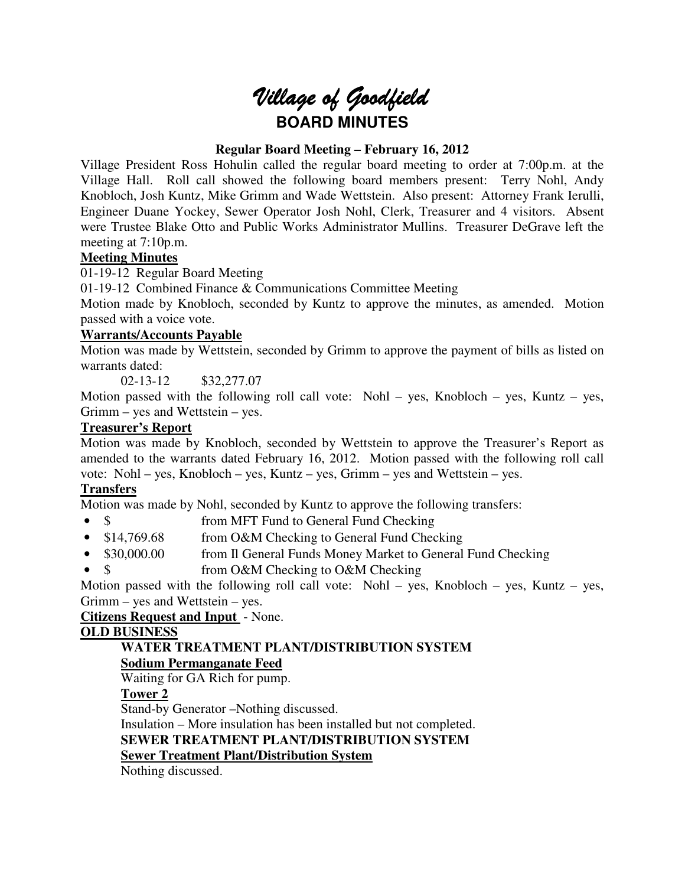# Village of Goodfield **BOARD MINUTES**

# **Regular Board Meeting – February 16, 2012**

Village President Ross Hohulin called the regular board meeting to order at 7:00p.m. at the Village Hall. Roll call showed the following board members present: Terry Nohl, Andy Knobloch, Josh Kuntz, Mike Grimm and Wade Wettstein. Also present: Attorney Frank Ierulli, Engineer Duane Yockey, Sewer Operator Josh Nohl, Clerk, Treasurer and 4 visitors. Absent were Trustee Blake Otto and Public Works Administrator Mullins. Treasurer DeGrave left the meeting at 7:10p.m.

# **Meeting Minutes**

01-19-12 Regular Board Meeting

01-19-12 Combined Finance & Communications Committee Meeting

Motion made by Knobloch, seconded by Kuntz to approve the minutes, as amended. Motion passed with a voice vote.

# **Warrants/Accounts Payable**

Motion was made by Wettstein, seconded by Grimm to approve the payment of bills as listed on warrants dated:

02-13-12 \$32,277.07

Motion passed with the following roll call vote: Nohl – yes, Knobloch – yes, Kuntz – yes, Grimm – yes and Wettstein – yes.

# **Treasurer's Report**

Motion was made by Knobloch, seconded by Wettstein to approve the Treasurer's Report as amended to the warrants dated February 16, 2012. Motion passed with the following roll call vote: Nohl – yes, Knobloch – yes, Kuntz – yes, Grimm – yes and Wettstein – yes.

# **Transfers**

Motion was made by Nohl, seconded by Kuntz to approve the following transfers:

- \$ from MFT Fund to General Fund Checking
- \$14,769.68 from O&M Checking to General Fund Checking
- \$30,000.00 from Il General Funds Money Market to General Fund Checking
- \$ from O&M Checking to O&M Checking

Motion passed with the following roll call vote: Nohl – yes, Knobloch – yes, Kuntz – yes, Grimm – yes and Wettstein – yes.

# **Citizens Request and Input** - None.

# **OLD BUSINESS**

# **WATER TREATMENT PLANT/DISTRIBUTION SYSTEM**

# **Sodium Permanganate Feed**

Waiting for GA Rich for pump.

# **Tower 2**

Stand-by Generator –Nothing discussed.

Insulation – More insulation has been installed but not completed.

**SEWER TREATMENT PLANT/DISTRIBUTION SYSTEM** 

# **Sewer Treatment Plant/Distribution System**

Nothing discussed.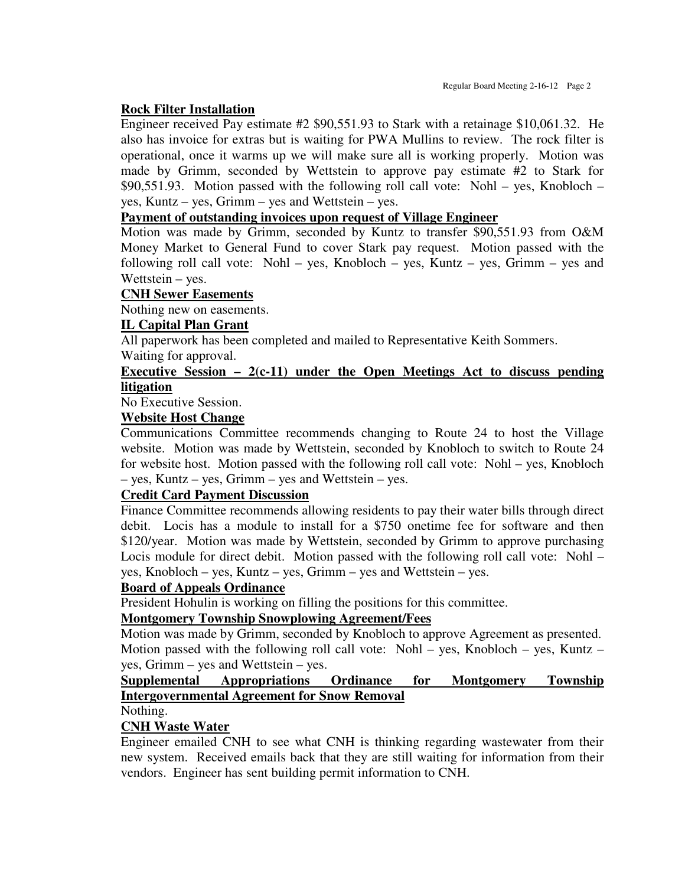## **Rock Filter Installation**

Engineer received Pay estimate #2 \$90,551.93 to Stark with a retainage \$10,061.32. He also has invoice for extras but is waiting for PWA Mullins to review. The rock filter is operational, once it warms up we will make sure all is working properly. Motion was made by Grimm, seconded by Wettstein to approve pay estimate #2 to Stark for \$90,551.93. Motion passed with the following roll call vote: Nohl – yes, Knobloch – yes, Kuntz – yes, Grimm – yes and Wettstein – yes.

## **Payment of outstanding invoices upon request of Village Engineer**

Motion was made by Grimm, seconded by Kuntz to transfer \$90,551.93 from O&M Money Market to General Fund to cover Stark pay request. Motion passed with the following roll call vote: Nohl – yes, Knobloch – yes, Kuntz – yes, Grimm – yes and Wettstein – yes.

#### **CNH Sewer Easements**

Nothing new on easements.

# **IL Capital Plan Grant**

All paperwork has been completed and mailed to Representative Keith Sommers.

Waiting for approval.

# **Executive Session – 2(c-11) under the Open Meetings Act to discuss pending litigation**

No Executive Session.

#### **Website Host Change**

Communications Committee recommends changing to Route 24 to host the Village website. Motion was made by Wettstein, seconded by Knobloch to switch to Route 24 for website host. Motion passed with the following roll call vote: Nohl – yes, Knobloch – yes, Kuntz – yes, Grimm – yes and Wettstein – yes.

# **Credit Card Payment Discussion**

Finance Committee recommends allowing residents to pay their water bills through direct debit. Locis has a module to install for a \$750 onetime fee for software and then \$120/year. Motion was made by Wettstein, seconded by Grimm to approve purchasing Locis module for direct debit. Motion passed with the following roll call vote: Nohl – yes, Knobloch – yes, Kuntz – yes, Grimm – yes and Wettstein – yes.

#### **Board of Appeals Ordinance**

President Hohulin is working on filling the positions for this committee.

# **Montgomery Township Snowplowing Agreement/Fees**

Motion was made by Grimm, seconded by Knobloch to approve Agreement as presented. Motion passed with the following roll call vote: Nohl – yes, Knobloch – yes, Kuntz – yes, Grimm – yes and Wettstein – yes.

# **Supplemental Appropriations Ordinance for Montgomery Township Intergovernmental Agreement for Snow Removal**

Nothing.

# **CNH Waste Water**

Engineer emailed CNH to see what CNH is thinking regarding wastewater from their new system. Received emails back that they are still waiting for information from their vendors. Engineer has sent building permit information to CNH.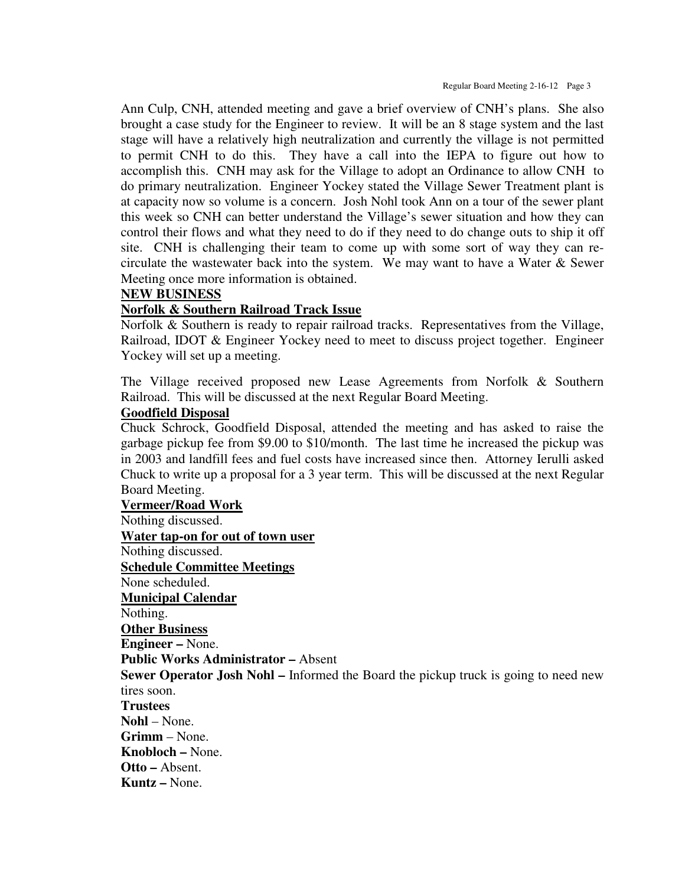Ann Culp, CNH, attended meeting and gave a brief overview of CNH's plans. She also brought a case study for the Engineer to review. It will be an 8 stage system and the last stage will have a relatively high neutralization and currently the village is not permitted to permit CNH to do this. They have a call into the IEPA to figure out how to accomplish this. CNH may ask for the Village to adopt an Ordinance to allow CNH to do primary neutralization. Engineer Yockey stated the Village Sewer Treatment plant is at capacity now so volume is a concern. Josh Nohl took Ann on a tour of the sewer plant this week so CNH can better understand the Village's sewer situation and how they can control their flows and what they need to do if they need to do change outs to ship it off site. CNH is challenging their team to come up with some sort of way they can recirculate the wastewater back into the system. We may want to have a Water & Sewer Meeting once more information is obtained.

#### **NEW BUSINESS**

#### **Norfolk & Southern Railroad Track Issue**

Norfolk & Southern is ready to repair railroad tracks. Representatives from the Village, Railroad, IDOT & Engineer Yockey need to meet to discuss project together. Engineer Yockey will set up a meeting.

The Village received proposed new Lease Agreements from Norfolk & Southern Railroad. This will be discussed at the next Regular Board Meeting.

#### **Goodfield Disposal**

Chuck Schrock, Goodfield Disposal, attended the meeting and has asked to raise the garbage pickup fee from \$9.00 to \$10/month. The last time he increased the pickup was in 2003 and landfill fees and fuel costs have increased since then. Attorney Ierulli asked Chuck to write up a proposal for a 3 year term. This will be discussed at the next Regular Board Meeting.

**Vermeer/Road Work** Nothing discussed. **Water tap-on for out of town user** Nothing discussed. **Schedule Committee Meetings** None scheduled. **Municipal Calendar** Nothing. **Other Business Engineer –** None. **Public Works Administrator –** Absent **Sewer Operator Josh Nohl –** Informed the Board the pickup truck is going to need new tires soon. **Trustees Nohl** – None. **Grimm** – None. **Knobloch –** None. **Otto –** Absent. **Kuntz –** None.